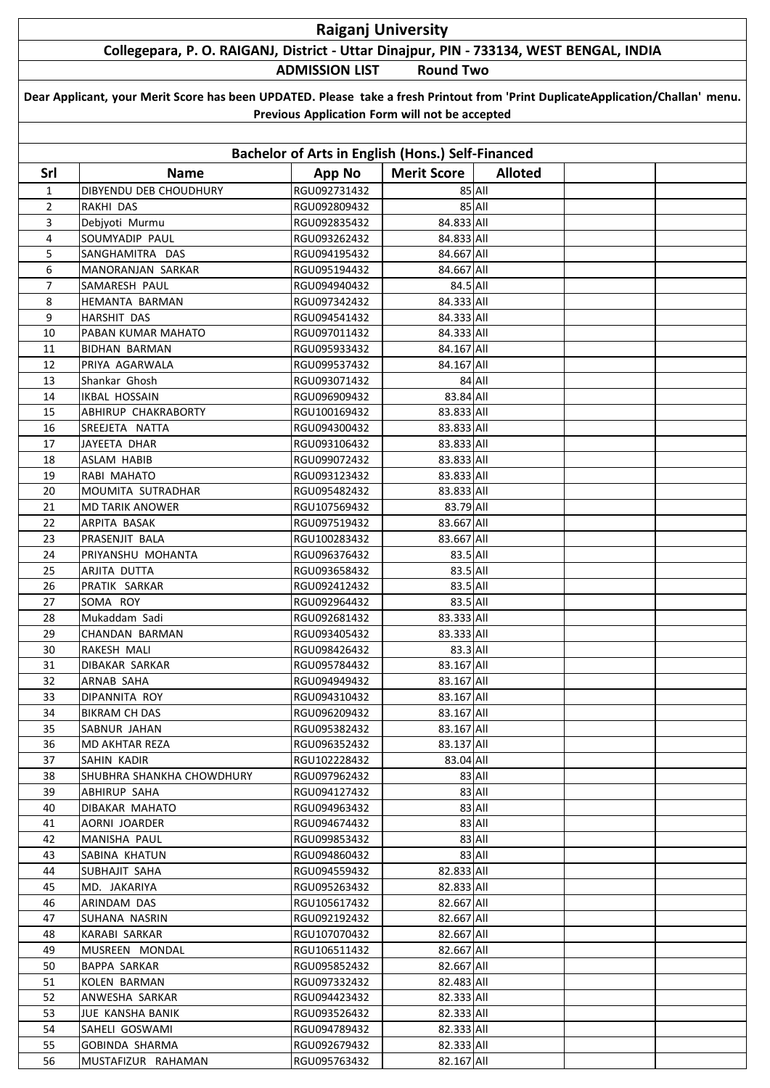## **Raiganj University**

## **Collegepara, P. O. RAIGANJ, District - Uttar Dinajpur, PIN - 733134, WEST BENGAL, INDIA**

**ADMISSION LIST Round Two**

| Dear Applicant, your Merit Score has been UPDATED. Please take a fresh Printout from 'Print DuplicateApplication/Challan' menu. |
|---------------------------------------------------------------------------------------------------------------------------------|
| Previous Application Form will not be accepted                                                                                  |

| Bachelor of Arts in English (Hons.) Self-Financed |                                  |                              |                          |                |  |  |  |  |  |
|---------------------------------------------------|----------------------------------|------------------------------|--------------------------|----------------|--|--|--|--|--|
| Srl                                               | <b>Name</b>                      | <b>App No</b>                | <b>Merit Score</b>       | <b>Alloted</b> |  |  |  |  |  |
| $\mathbf{1}$                                      | DIBYENDU DEB CHOUDHURY           | RGU092731432                 |                          | 85 All         |  |  |  |  |  |
| $\overline{2}$                                    | RAKHI DAS                        | RGU092809432                 |                          | 85 All         |  |  |  |  |  |
| 3                                                 | Debjyoti Murmu                   | RGU092835432                 | 84.833 All               |                |  |  |  |  |  |
| 4                                                 | SOUMYADIP PAUL                   | RGU093262432                 | 84.833 All               |                |  |  |  |  |  |
| 5                                                 | SANGHAMITRA DAS                  | RGU094195432                 | 84.667 All               |                |  |  |  |  |  |
| 6                                                 | MANORANJAN SARKAR                | RGU095194432                 | 84.667 All               |                |  |  |  |  |  |
| $\overline{7}$                                    | SAMARESH PAUL                    | RGU094940432                 | 84.5 All                 |                |  |  |  |  |  |
| 8                                                 | HEMANTA BARMAN                   | RGU097342432                 | 84.333 All               |                |  |  |  |  |  |
| 9                                                 | HARSHIT DAS                      | RGU094541432                 | 84.333 All               |                |  |  |  |  |  |
| 10                                                | PABAN KUMAR MAHATO               | RGU097011432                 | 84.333 All               |                |  |  |  |  |  |
| 11                                                | <b>BIDHAN BARMAN</b>             | RGU095933432                 | 84.167 All               |                |  |  |  |  |  |
| 12                                                | PRIYA AGARWALA                   | RGU099537432                 | 84.167 All               |                |  |  |  |  |  |
| 13                                                | Shankar Ghosh                    | RGU093071432                 |                          | 84 All         |  |  |  |  |  |
| 14                                                | <b>IKBAL HOSSAIN</b>             | RGU096909432                 | 83.84 All                |                |  |  |  |  |  |
| 15                                                | ABHIRUP CHAKRABORTY              | RGU100169432                 | 83.833 All               |                |  |  |  |  |  |
| 16                                                | SREEJETA NATTA                   | RGU094300432                 | 83.833 All               |                |  |  |  |  |  |
| 17                                                | JAYEETA DHAR                     | RGU093106432                 | 83.833 All               |                |  |  |  |  |  |
| 18                                                | ASLAM HABIB                      | RGU099072432                 | 83.833 All               |                |  |  |  |  |  |
| 19                                                | RABI MAHATO                      | RGU093123432                 | 83.833 All               |                |  |  |  |  |  |
| 20                                                | MOUMITA SUTRADHAR                | RGU095482432                 | 83.833 All               |                |  |  |  |  |  |
| 21                                                | <b>MD TARIK ANOWER</b>           | RGU107569432                 | 83.79 All                |                |  |  |  |  |  |
| 22                                                | ARPITA BASAK                     | RGU097519432                 | 83.667 All               |                |  |  |  |  |  |
| 23                                                | PRASENJIT BALA                   | RGU100283432                 | 83.667 All               |                |  |  |  |  |  |
| 24                                                | PRIYANSHU MOHANTA                | RGU096376432                 | 83.5 All                 |                |  |  |  |  |  |
| 25                                                | ARJITA DUTTA                     | RGU093658432                 | 83.5 All                 |                |  |  |  |  |  |
| 26                                                | PRATIK SARKAR                    | RGU092412432                 | 83.5 All                 |                |  |  |  |  |  |
| 27                                                | SOMA ROY                         | RGU092964432                 | 83.5 All                 |                |  |  |  |  |  |
| 28                                                | Mukaddam Sadi                    | RGU092681432                 | 83.333 All               |                |  |  |  |  |  |
| 29                                                | CHANDAN BARMAN                   | RGU093405432                 | 83.333 All               |                |  |  |  |  |  |
| 30                                                | RAKESH MALI                      | RGU098426432                 | 83.3 All                 |                |  |  |  |  |  |
| 31                                                | DIBAKAR SARKAR                   | RGU095784432                 | 83.167 All               |                |  |  |  |  |  |
| 32                                                | ARNAB SAHA                       | RGU094949432                 | 83.167 All               |                |  |  |  |  |  |
| 33                                                | DIPANNITA ROY                    | RGU094310432                 | 83.167 All               |                |  |  |  |  |  |
| 34                                                | <b>BIKRAM CH DAS</b>             | RGU096209432                 | 83.167 All               |                |  |  |  |  |  |
| 35                                                | SABNUR JAHAN                     | RGU095382432                 | 83.167 All               |                |  |  |  |  |  |
| 36                                                | MD AKHTAR REZA                   | RGU096352432                 | 83.137 All               |                |  |  |  |  |  |
| 37                                                | SAHIN KADIR                      | RGU102228432                 | 83.04 All                |                |  |  |  |  |  |
| 38                                                | SHUBHRA SHANKHA CHOWDHURY        | RGU097962432                 |                          | 83 All         |  |  |  |  |  |
| 39                                                | ABHIRUP SAHA                     | RGU094127432                 |                          | 83 All         |  |  |  |  |  |
| 40                                                | DIBAKAR MAHATO                   | RGU094963432                 |                          | 83 All         |  |  |  |  |  |
| 41                                                | AORNI JOARDER                    | RGU094674432                 |                          | 83 All         |  |  |  |  |  |
| 42                                                | MANISHA PAUL                     | RGU099853432                 |                          | 83 All         |  |  |  |  |  |
| 43                                                | SABINA KHATUN                    | RGU094860432                 |                          | 83 All         |  |  |  |  |  |
| 44                                                | <b>SUBHAJIT SAHA</b>             | RGU094559432                 | 82.833 All               |                |  |  |  |  |  |
| 45                                                | MD. JAKARIYA                     | RGU095263432                 | 82.833 All               |                |  |  |  |  |  |
| 46                                                | ARINDAM DAS                      | RGU105617432                 | 82.667 All               |                |  |  |  |  |  |
| 47                                                | SUHANA NASRIN                    | RGU092192432                 | 82.667 All               |                |  |  |  |  |  |
| 48                                                | KARABI SARKAR                    | RGU107070432                 | 82.667 All               |                |  |  |  |  |  |
| 49                                                | MUSREEN MONDAL                   | RGU106511432                 | 82.667 All               |                |  |  |  |  |  |
| 50                                                | BAPPA SARKAR                     | RGU095852432                 | 82.667 All               |                |  |  |  |  |  |
| 51                                                | KOLEN BARMAN                     | RGU097332432                 | 82.483 All               |                |  |  |  |  |  |
| 52                                                | ANWESHA SARKAR                   | RGU094423432                 | 82.333 All               |                |  |  |  |  |  |
| 53                                                | JUE KANSHA BANIK                 | RGU093526432                 | 82.333 All               |                |  |  |  |  |  |
| 54<br>55                                          | SAHELI GOSWAMI<br>GOBINDA SHARMA | RGU094789432<br>RGU092679432 | 82.333 All<br>82.333 All |                |  |  |  |  |  |
| 56                                                | MUSTAFIZUR RAHAMAN               | RGU095763432                 | 82.167 All               |                |  |  |  |  |  |
|                                                   |                                  |                              |                          |                |  |  |  |  |  |